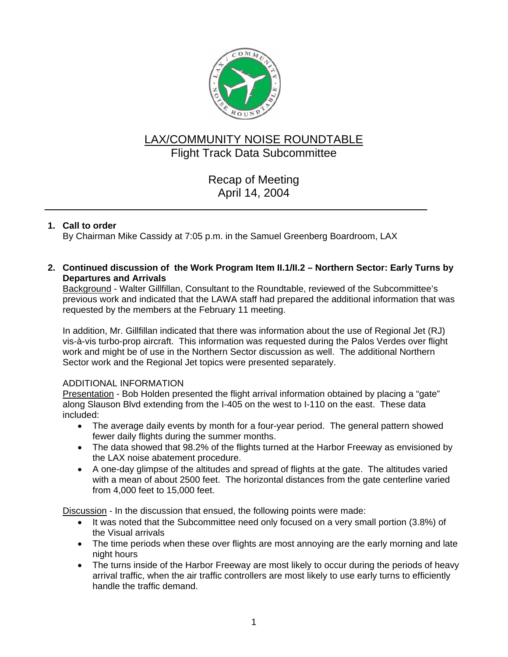

# LAX/COMMUNITY NOISE ROUNDTABLE Flight Track Data Subcommittee

Recap of Meeting April 14, 2004

# **1. Call to order**

By Chairman Mike Cassidy at 7:05 p.m. in the Samuel Greenberg Boardroom, LAX

**2. Continued discussion of the Work Program Item II.1/II.2 – Northern Sector: Early Turns by Departures and Arrivals**

Background - Walter Gillfillan, Consultant to the Roundtable, reviewed of the Subcommittee's previous work and indicated that the LAWA staff had prepared the additional information that was requested by the members at the February 11 meeting.

In addition, Mr. Gillfillan indicated that there was information about the use of Regional Jet (RJ) vis-à-vis turbo-prop aircraft. This information was requested during the Palos Verdes over flight work and might be of use in the Northern Sector discussion as well. The additional Northern Sector work and the Regional Jet topics were presented separately.

# ADDITIONAL INFORMATION

Presentation - Bob Holden presented the flight arrival information obtained by placing a "gate" along Slauson Blvd extending from the I-405 on the west to I-110 on the east. These data included:

- The average daily events by month for a four-year period. The general pattern showed fewer daily flights during the summer months.
- The data showed that 98.2% of the flights turned at the Harbor Freeway as envisioned by the LAX noise abatement procedure.
- A one-day glimpse of the altitudes and spread of flights at the gate. The altitudes varied with a mean of about 2500 feet. The horizontal distances from the gate centerline varied from 4,000 feet to 15,000 feet.

Discussion - In the discussion that ensued, the following points were made:

- It was noted that the Subcommittee need only focused on a very small portion (3.8%) of the Visual arrivals
- The time periods when these over flights are most annoying are the early morning and late night hours
- The turns inside of the Harbor Freeway are most likely to occur during the periods of heavy arrival traffic, when the air traffic controllers are most likely to use early turns to efficiently handle the traffic demand.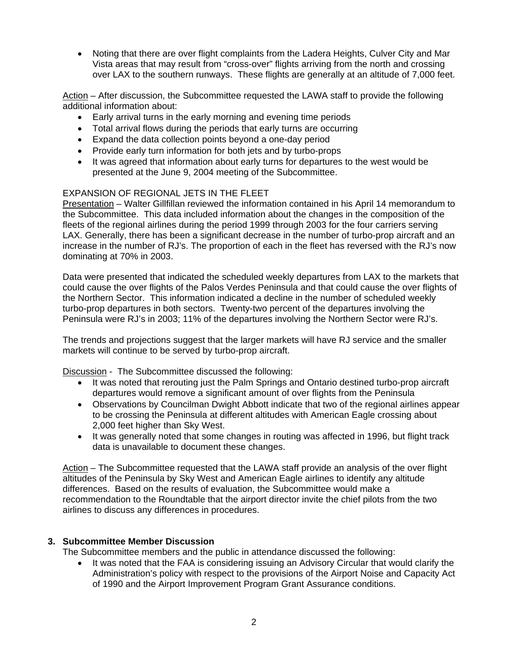• Noting that there are over flight complaints from the Ladera Heights, Culver City and Mar Vista areas that may result from "cross-over" flights arriving from the north and crossing over LAX to the southern runways. These flights are generally at an altitude of 7,000 feet.

Action – After discussion, the Subcommittee requested the LAWA staff to provide the following additional information about:

- Early arrival turns in the early morning and evening time periods
- Total arrival flows during the periods that early turns are occurring
- Expand the data collection points beyond a one-day period
- Provide early turn information for both jets and by turbo-props
- It was agreed that information about early turns for departures to the west would be presented at the June 9, 2004 meeting of the Subcommittee.

## EXPANSION OF REGIONAL JETS IN THE FLEET

Presentation – Walter Gillfillan reviewed the information contained in his April 14 memorandum to the Subcommittee. This data included information about the changes in the composition of the fleets of the regional airlines during the period 1999 through 2003 for the four carriers serving LAX. Generally, there has been a significant decrease in the number of turbo-prop aircraft and an increase in the number of RJ's. The proportion of each in the fleet has reversed with the RJ's now dominating at 70% in 2003.

Data were presented that indicated the scheduled weekly departures from LAX to the markets that could cause the over flights of the Palos Verdes Peninsula and that could cause the over flights of the Northern Sector. This information indicated a decline in the number of scheduled weekly turbo-prop departures in both sectors. Twenty-two percent of the departures involving the Peninsula were RJ's in 2003; 11% of the departures involving the Northern Sector were RJ's.

The trends and projections suggest that the larger markets will have RJ service and the smaller markets will continue to be served by turbo-prop aircraft.

Discussion - The Subcommittee discussed the following:

- It was noted that rerouting just the Palm Springs and Ontario destined turbo-prop aircraft departures would remove a significant amount of over flights from the Peninsula
- Observations by Councilman Dwight Abbott indicate that two of the regional airlines appear to be crossing the Peninsula at different altitudes with American Eagle crossing about 2,000 feet higher than Sky West.
- It was generally noted that some changes in routing was affected in 1996, but flight track data is unavailable to document these changes.

Action – The Subcommittee requested that the LAWA staff provide an analysis of the over flight altitudes of the Peninsula by Sky West and American Eagle airlines to identify any altitude differences. Based on the results of evaluation, the Subcommittee would make a recommendation to the Roundtable that the airport director invite the chief pilots from the two airlines to discuss any differences in procedures.

#### **3. Subcommittee Member Discussion**

The Subcommittee members and the public in attendance discussed the following:

• It was noted that the FAA is considering issuing an Advisory Circular that would clarify the Administration's policy with respect to the provisions of the Airport Noise and Capacity Act of 1990 and the Airport Improvement Program Grant Assurance conditions.